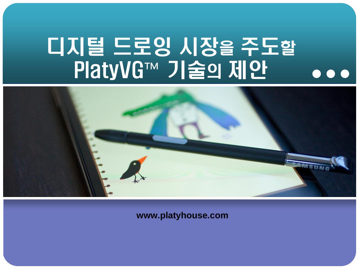# 디지털 드로잉 시장을 주도할 PlatyVG™ 기술의 제안



**www.platyhouse.com**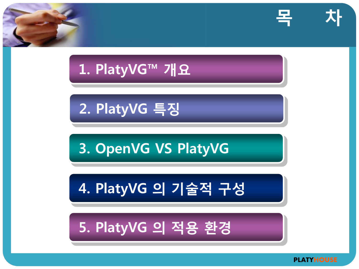

### 5. PlatyVG 의 적용 환경

### 4. PlatyVG 의 기술적 구성

### 3. OpenVG VS PlatyVG

### 2. PlatyVG 특징

### 1. PlatyVG™ 개요





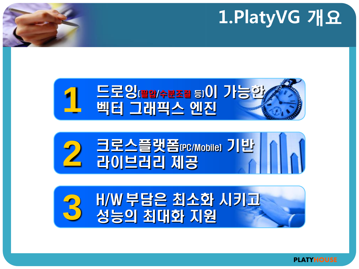# 1.PlatyVG 개요







# H/W 부담은 최소화 시키고 **3** 성능의 최대화 지원

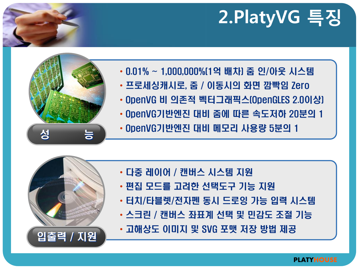# 2.PlatyVG 특징



- 0.01% ~ 1,000,000%(1억 배차) 줌 인/아웃 시스템
- 프로세싱캐시로, 줌 / 이동시의 화면 깜빡임 Zero
- OpenVG 비 의존적 벡터그래픽스(OpenGLES 2.0이상)
- OpenVG기반엔진 대비 줌에 따른 속도저하 20분의 1
- 성 동물 이penVG기반엔진 대비 메모리 사용량 5분의 1

- 다중 레이어 / 캔버스 시스템 지원
- 편집 모드를 고려한 선택도구 기능 지원
- 터치/타블렛/전자펜 동시 드로잉 가능 입력 시스템
- 스크린 / 캔버스 좌표계 선택 및 민감도 조절 기능



• 고해상도 이미지 및 SVG 포맷 저장 방법 제공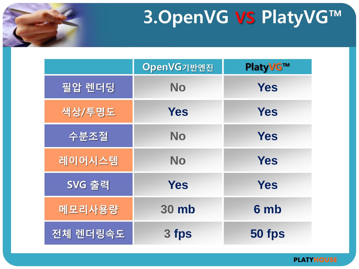

# 3.OpenVG VS PlatyVG™

|          | OpenVG기반엔진   | <b>PlatyVG™</b> |
|----------|--------------|-----------------|
| 필압 렌더딩   | <b>No</b>    | <b>Yes</b>      |
| 색상/투명도   | <b>Yes</b>   | <b>Yes</b>      |
| 수분조절     | <b>No</b>    | <b>Yes</b>      |
| 레이어시스템   | <b>No</b>    | <b>Yes</b>      |
| SVG 출력   | <b>Yes</b>   | <b>Yes</b>      |
| 메모리사용량   | <b>30 mb</b> | 6 mb            |
| 전체 렌더링속도 | 3 fps        | 50 fps          |

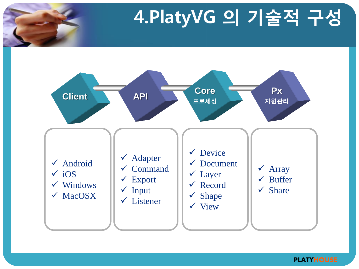



#### **PLATYHOUSE**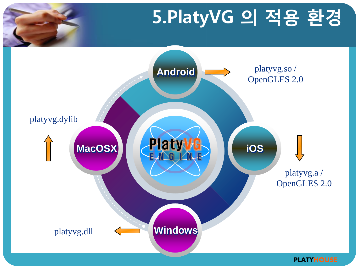# 5.PlatyVG 의 적용 환경 **Android Windows MacOSX CHECKWUS COS** platyvg.so / OpenGLES 2.0 platyvg.dll platyvg.a / OpenGLES 2.0 platyvg.dylib **Platy** E N G L N E

**PLATYHOUSE**